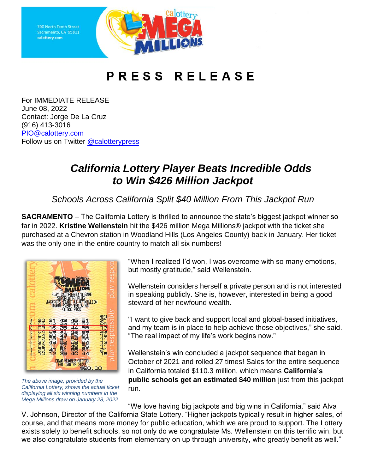Sacramento, CA 95811 calottery.com



## PRESS RELEASE

For IMMEDIATE RELEASE June 08, 2022 Contact: Jorge De La Cruz (916) 413-3016 [PIO@calottery.com](mailto:PIO@calottery.com) Follow us on Twitter [@calotterypress](https://twitter.com/calotterypress)

## *California Lottery Player Beats Incredible Odds to Win \$426 Million Jackpot*

*Schools Across California Split \$40 Million From This Jackpot Run*

**SACRAMENTO** – The California Lottery is thrilled to announce the state's biggest jackpot winner so far in 2022. **Kristine Wellenstein** hit the \$426 million Mega Millions® jackpot with the ticket she purchased at a Chevron station in Woodland Hills (Los Angeles County) back in January. Her ticket was the only one in the entire country to match all six numbers!



*The above image, provided by the California Lottery, shows the actual ticket displaying all six winning numbers in the Mega Millions draw on January 28, 2022.*

"When I realized I'd won, I was overcome with so many emotions, but mostly gratitude," said Wellenstein.

Wellenstein considers herself a private person and is not interested in speaking publicly. She is, however, interested in being a good steward of her newfound wealth.

"I want to give back and support local and global-based initiatives, and my team is in place to help achieve those objectives," she said. "The real impact of my life's work begins now."

Wellenstein's win concluded a jackpot sequence that began in October of 2021 and rolled 27 times! Sales for the entire sequence in California totaled \$110.3 million, which means **California's public schools get an estimated \$40 million** just from this jackpot run.

"We love having big jackpots and big wins in California," said Alva V. Johnson, Director of the California State Lottery. "Higher jackpots typically result in higher sales, of course, and that means more money for public education, which we are proud to support. The Lottery exists solely to benefit schools, so not only do we congratulate Ms. Wellenstein on this terrific win, but we also congratulate students from elementary on up through university, who greatly benefit as well."